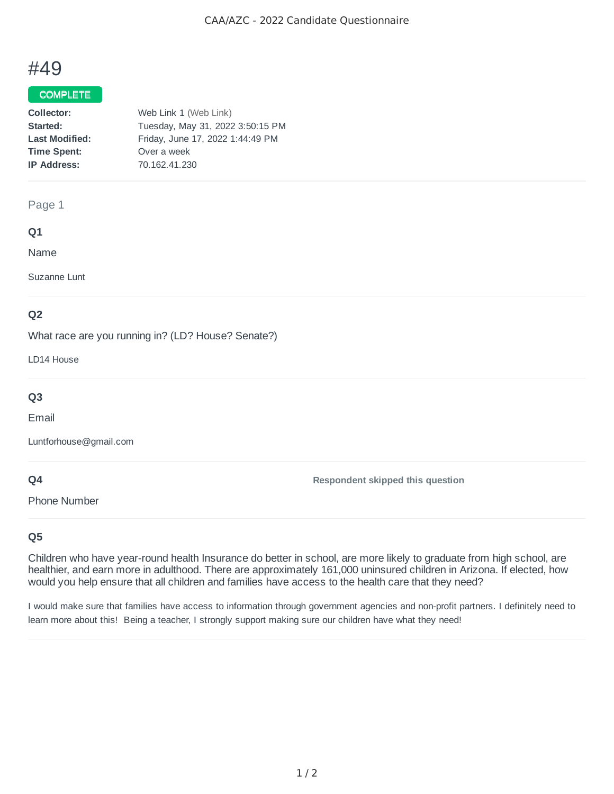# #49

## COMPLETE

| Web Link 1 (Web Link)            |
|----------------------------------|
| Tuesday, May 31, 2022 3:50:15 PM |
| Friday, June 17, 2022 1:44:49 PM |
| Over a week                      |
| 70.162.41.230                    |
|                                  |

#### Page 1

### **Q1**

Name

Suzanne Lunt

## **Q2**

What race are you running in? (LD? House? Senate?)

LD14 House

## **Q3**

Email

Luntforhouse@gmail.com

## **Q4**

Phone Number

**Respondent skipped this question**

## **Q5**

Children who have year-round health Insurance do better in school, are more likely to graduate from high school, are healthier, and earn more in adulthood. There are approximately 161,000 uninsured children in Arizona. If elected, how would you help ensure that all children and families have access to the health care that they need?

I would make sure that families have access to information through government agencies and non-profit partners. I definitely need to learn more about this! Being a teacher, I strongly support making sure our children have what they need!